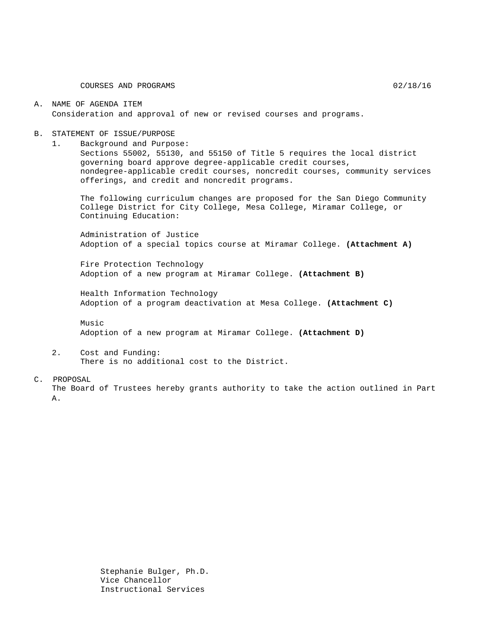COURSES AND PROGRAMS 02/18/16

### A. NAME OF AGENDA ITEM Consideration and approval of new or revised courses and programs.

#### B. STATEMENT OF ISSUE/PURPOSE

1. Background and Purpose:

Sections 55002, 55130, and 55150 of Title 5 requires the local district governing board approve degree-applicable credit courses, nondegree-applicable credit courses, noncredit courses, community services offerings, and credit and noncredit programs.

The following curriculum changes are proposed for the San Diego Community College District for City College, Mesa College, Miramar College, or Continuing Education:

Administration of Justice Adoption of a special topics course at Miramar College. **(Attachment A)**

Fire Protection Technology Adoption of a new program at Miramar College. **(Attachment B)**

Health Information Technology Adoption of a program deactivation at Mesa College. **(Attachment C)**

Music Adoption of a new program at Miramar College. **(Attachment D)**

2. Cost and Funding: There is no additional cost to the District.

#### C. PROPOSAL

The Board of Trustees hereby grants authority to take the action outlined in Part A.

> Stephanie Bulger, Ph.D. Vice Chancellor Instructional Services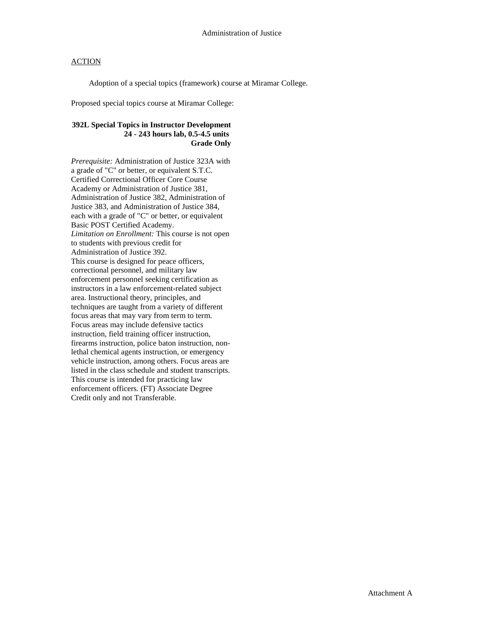### **ACTION**

Adoption of a special topics (framework) course at Miramar College.

Proposed special topics course at Miramar College:

### **392L Special Topics in Instructor Development 24 - 243 hours lab, 0.5-4.5 units Grade Only**

*Prerequisite:* Administration of Justice 323A with a grade of "C" or better, or equivalent S.T.C. Certified Correctional Officer Core Course Academy or Administration of Justice 381, Administration of Justice 382, Administration of Justice 383, and Administration of Justice 384, each with a grade of "C" or better, or equivalent Basic POST Certified Academy. *Limitation on Enrollment:* This course is not open to students with previous credit for Administration of Justice 392. This course is designed for peace officers, correctional personnel, and military law enforcement personnel seeking certification as instructors in a law enforcement-related subject area. Instructional theory, principles, and techniques are taught from a variety of different focus areas that may vary from term to term. Focus areas may include defensive tactics instruction, field training officer instruction, firearms instruction, police baton instruction, nonlethal chemical agents instruction, or emergency vehicle instruction, among others. Focus areas are listed in the class schedule and student transcripts. This course is intended for practicing law enforcement officers. (FT) Associate Degree Credit only and not Transferable.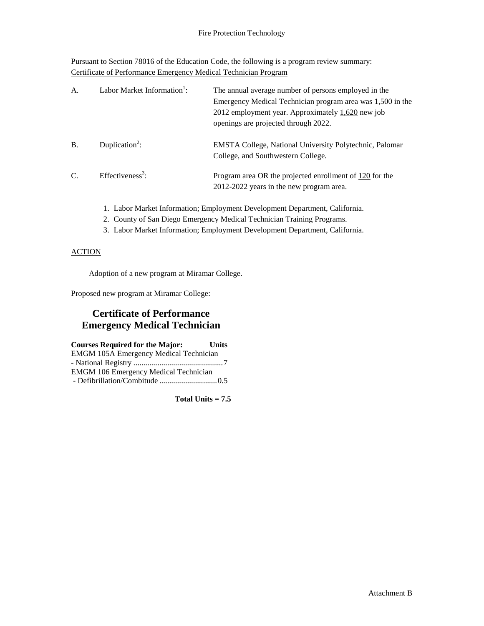Pursuant to Section 78016 of the Education Code, the following is a program review summary: Certificate of Performance Emergency Medical Technician Program

| A <sub>1</sub> | Labor Market Information <sup>1</sup> : | The annual average number of persons employed in the<br>Emergency Medical Technician program area was $1,500$ in the<br>2012 employment year. Approximately $1,620$ new job<br>openings are projected through 2022. |
|----------------|-----------------------------------------|---------------------------------------------------------------------------------------------------------------------------------------------------------------------------------------------------------------------|
| <b>B.</b>      | Duplication <sup>2</sup> :              | <b>EMSTA College, National University Polytechnic, Palomar</b><br>College, and Southwestern College.                                                                                                                |
| C.             | Effectiveness <sup>3</sup> :            | Program area OR the projected enrollment of 120 for the<br>2012-2022 years in the new program area.                                                                                                                 |

- 1. Labor Market Information; Employment Development Department, California.
- 2. County of San Diego Emergency Medical Technician Training Programs.
- 3. Labor Market Information; Employment Development Department, California.

### **ACTION**

Adoption of a new program at Miramar College.

Proposed new program at Miramar College:

## **Certificate of Performance Emergency Medical Technician**

**Courses Required for the Major: Units** EMGM 105A Emergency Medical Technician - National Registry .............................................7 EMGM 106 Emergency Medical Technician - Defibrillation/Combitude .............................0.5

**Total Units = 7.5**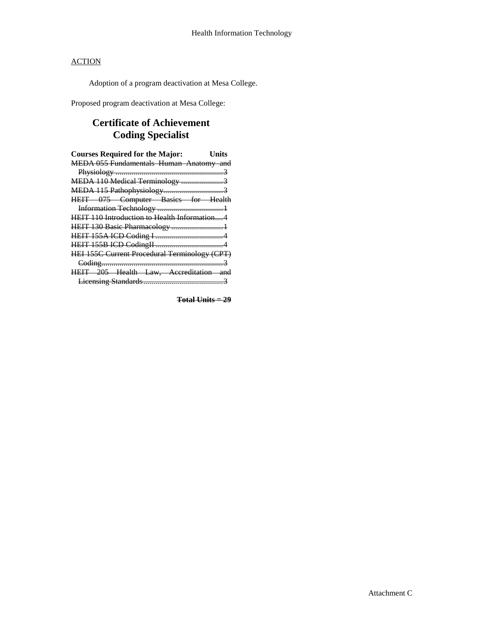## **ACTION**

Adoption of a program deactivation at Mesa College.

Proposed program deactivation at Mesa College:

# **Certificate of Achievement Coding Specialist**

| <b>Courses Required for the Major:</b>        | Units |
|-----------------------------------------------|-------|
| MEDA 055 Fundamentals Human Anatomy and       |       |
|                                               |       |
| MEDA 110 Medical Terminology 3                |       |
|                                               |       |
| HEIT 075 Computer Basics for Health           |       |
|                                               |       |
| HEIT 110 Introduction to Health Information4  |       |
|                                               |       |
|                                               |       |
|                                               |       |
| HEI 155C Current Procedural Terminology (CPT) |       |
|                                               |       |
| HEIT 205 Health Law, Accreditation and        |       |
|                                               |       |

**Total Units = 29**